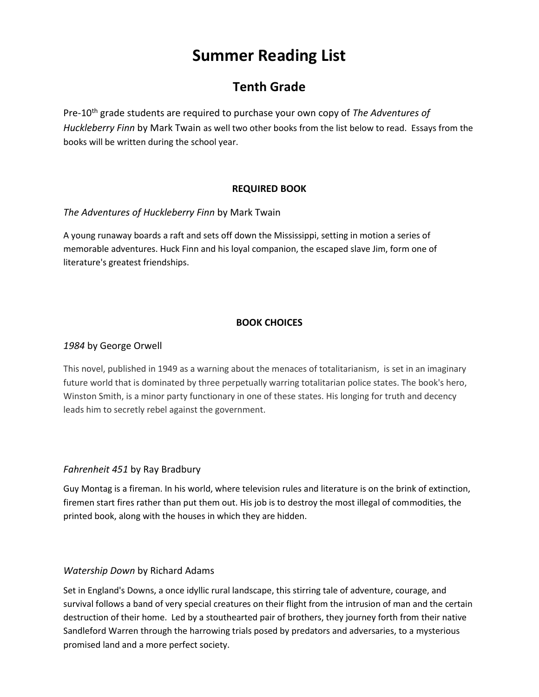# **Summer Reading List**

## **Tenth Grade**

Pre-10<sup>th</sup> grade students are required to purchase your own copy of *The Adventures of Huckleberry Finn* by Mark Twain as well two other books from the list below to read. Essays from the books will be written during the school year.

#### **REQUIRED BOOK**

#### *The Adventures of Huckleberry Finn* by Mark Twain

A young runaway boards a raft and sets off down the Mississippi, setting in motion a series of memorable adventures. Huck Finn and his loyal companion, the escaped slave Jim, form one of literature's greatest friendships.

### **BOOK CHOICES**

#### *1984* by George Orwell

This novel, published in 1949 as a warning about the menaces of totalitarianism, is set in an imaginary future world that is dominated by three perpetually warring totalitarian police states. The book's hero, Winston Smith, is a minor party functionary in one of these states. His longing for truth and decency leads him to secretly rebel against the government.

#### *Fahrenheit 451* by Ray Bradbury

Guy Montag is a fireman. In his world, where television rules and literature is on the brink of extinction, firemen start fires rather than put them out. His job is to destroy the most illegal of commodities, the printed book, along with the houses in which they are hidden.

#### *Watership Down* by Richard Adams

Set in England's Downs, a once idyllic rural landscape, this stirring tale of adventure, courage, and survival follows a band of very special creatures on their flight from the intrusion of man and the certain destruction of their home. Led by a stouthearted pair of brothers, they journey forth from their native Sandleford Warren through the harrowing trials posed by predators and adversaries, to a mysterious promised land and a more perfect society.